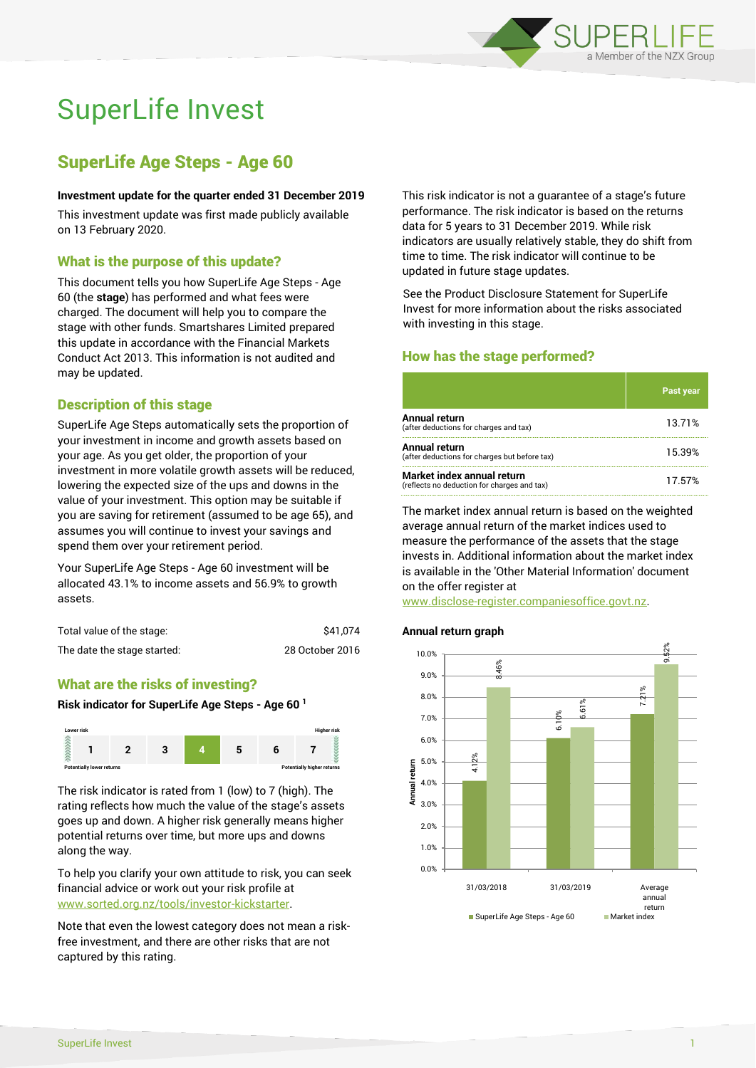

# SuperLife Invest

# SuperLife Age Steps - Age 60

### **Investment update for the quarter ended 31 December 2019**

This investment update was first made publicly available on 13 February 2020.

# What is the purpose of this update?

This document tells you how SuperLife Age Steps - Age 60 (the **stage**) has performed and what fees were charged. The document will help you to compare the stage with other funds. Smartshares Limited prepared this update in accordance with the Financial Markets Conduct Act 2013. This information is not audited and may be updated.

# Description of this stage

SuperLife Age Steps automatically sets the proportion of your investment in income and growth assets based on your age. As you get older, the proportion of your investment in more volatile growth assets will be reduced, lowering the expected size of the ups and downs in the value of your investment. This option may be suitable if you are saving for retirement (assumed to be age 65), and assumes you will continue to invest your savings and spend them over your retirement period.

Your SuperLife Age Steps - Age 60 investment will be allocated 43.1% to income assets and 56.9% to growth assets.

| Total value of the stage:   | \$41.074        |
|-----------------------------|-----------------|
| The date the stage started: | 28 October 2016 |

# What are the risks of investing?

#### **Risk indicator for SuperLife Age Steps - Age 60 <sup>1</sup>**



The risk indicator is rated from 1 (low) to 7 (high). The rating reflects how much the value of the stage's assets goes up and down. A higher risk generally means higher potential returns over time, but more ups and downs along the way.

To help you clarify your own attitude to risk, you can seek financial advice or work out your risk profile at [www.sorted.org.nz/tools/investor-kickstarter.](http://www.sorted.org.nz/tools/investor-kickstarter)

Note that even the lowest category does not mean a riskfree investment, and there are other risks that are not captured by this rating.

This risk indicator is not a guarantee of a stage's future performance. The risk indicator is based on the returns data for 5 years to 31 December 2019. While risk indicators are usually relatively stable, they do shift from time to time. The risk indicator will continue to be updated in future stage updates.

See the Product Disclosure Statement for SuperLife Invest for more information about the risks associated with investing in this stage.

# How has the stage performed?

|                                                                           | <b>Past year</b> |
|---------------------------------------------------------------------------|------------------|
| Annual return<br>(after deductions for charges and tax)                   | 13.71%           |
| Annual return<br>(after deductions for charges but before tax)            | 15.39%           |
| Market index annual return<br>(reflects no deduction for charges and tax) | 17.57%           |

The market index annual return is based on the weighted average annual return of the market indices used to measure the performance of the assets that the stage invests in. Additional information about the market index is available in the 'Other Material Information' document on the offer register at

www.disclose-register.companiesoffice.govt.nz.

#### **Annual return graph**

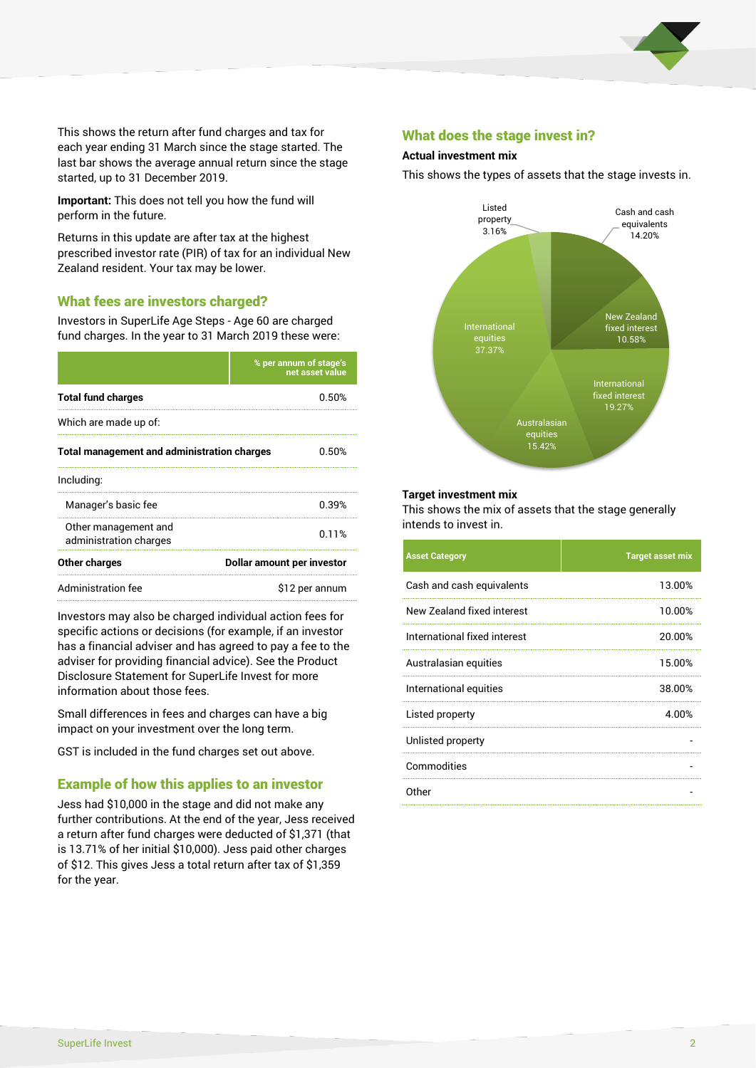

This shows the return after fund charges and tax for each year ending 31 March since the stage started. The last bar shows the average annual return since the stage started, up to 31 December 2019.

**Important:** This does not tell you how the fund will perform in the future.

Returns in this update are after tax at the highest prescribed investor rate (PIR) of tax for an individual New Zealand resident. Your tax may be lower.

# What fees are investors charged?

Investors in SuperLife Age Steps - Age 60 are charged fund charges. In the year to 31 March 2019 these were:

|                                                    | % per annum of stage's<br>net asset value |  |
|----------------------------------------------------|-------------------------------------------|--|
| <b>Total fund charges</b>                          | 0.50%                                     |  |
| Which are made up of:                              |                                           |  |
| <b>Total management and administration charges</b> | 0.50%                                     |  |
| Including:                                         |                                           |  |
| Manager's basic fee                                | 0.39%                                     |  |
| Other management and<br>administration charges     | 0.11%                                     |  |
| Other charges                                      | Dollar amount per investor                |  |
| Administration fee                                 | \$12 per annum                            |  |

Investors may also be charged individual action fees for specific actions or decisions (for example, if an investor has a financial adviser and has agreed to pay a fee to the adviser for providing financial advice). See the Product Disclosure Statement for SuperLife Invest for more information about those fees.

Small differences in fees and charges can have a big impact on your investment over the long term.

GST is included in the fund charges set out above.

# Example of how this applies to an investor

Jess had \$10,000 in the stage and did not make any further contributions. At the end of the year, Jess received a return after fund charges were deducted of \$1,371 (that is 13.71% of her initial \$10,000). Jess paid other charges of \$12. This gives Jess a total return after tax of \$1,359 for the year.

## What does the stage invest in?

#### **Actual investment mix**

This shows the types of assets that the stage invests in.



#### **Target investment mix**

This shows the mix of assets that the stage generally intends to invest in.

| <b>Asset Category</b>        | <b>Target asset mix</b> |
|------------------------------|-------------------------|
| Cash and cash equivalents    | 13.00%                  |
| New Zealand fixed interest   | 10.00%                  |
| International fixed interest | 20.00%                  |
| Australasian equities        | 15.00%                  |
| International equities       | 38.00%                  |
| Listed property              | 4.00%                   |
| Unlisted property            |                         |
| Commodities                  |                         |
| Other                        |                         |